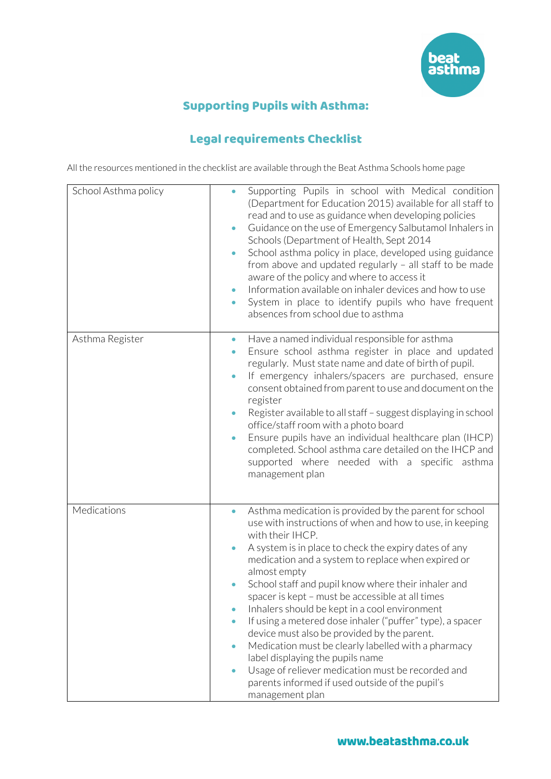

## Supporting Pupils with Asthma:

## Legal requirements Checklist

All the resources mentioned in the checklist are available through the Beat Asthma Schools home page

| School Asthma policy | Supporting Pupils in school with Medical condition<br>(Department for Education 2015) available for all staff to<br>read and to use as guidance when developing policies<br>Guidance on the use of Emergency Salbutamol Inhalers in<br>$\bullet$<br>Schools (Department of Health, Sept 2014<br>School asthma policy in place, developed using guidance<br>$\bullet$<br>from above and updated regularly - all staff to be made<br>aware of the policy and where to access it<br>Information available on inhaler devices and how to use<br>System in place to identify pupils who have frequent<br>$\bullet$<br>absences from school due to asthma                                                                                                                                                                                  |
|----------------------|--------------------------------------------------------------------------------------------------------------------------------------------------------------------------------------------------------------------------------------------------------------------------------------------------------------------------------------------------------------------------------------------------------------------------------------------------------------------------------------------------------------------------------------------------------------------------------------------------------------------------------------------------------------------------------------------------------------------------------------------------------------------------------------------------------------------------------------|
| Asthma Register      | Have a named individual responsible for asthma<br>$\bullet$<br>Ensure school asthma register in place and updated<br>$\bullet$<br>regularly. Must state name and date of birth of pupil.<br>If emergency inhalers/spacers are purchased, ensure<br>consent obtained from parent to use and document on the<br>register<br>Register available to all staff - suggest displaying in school<br>$\bullet$<br>office/staff room with a photo board<br>Ensure pupils have an individual healthcare plan (IHCP)<br>$\bullet$<br>completed. School asthma care detailed on the IHCP and<br>supported where needed with a specific asthma<br>management plan                                                                                                                                                                                  |
| Medications          | Asthma medication is provided by the parent for school<br>$\bullet$<br>use with instructions of when and how to use, in keeping<br>with their IHCP.<br>A system is in place to check the expiry dates of any<br>$\bullet$<br>medication and a system to replace when expired or<br>almost empty<br>School staff and pupil know where their inhaler and<br>spacer is kept - must be accessible at all times<br>Inhalers should be kept in a cool environment<br>If using a metered dose inhaler ("puffer" type), a spacer<br>$\bullet$<br>device must also be provided by the parent.<br>Medication must be clearly labelled with a pharmacy<br>$\bullet$<br>label displaying the pupils name<br>Usage of reliever medication must be recorded and<br>$\bullet$<br>parents informed if used outside of the pupil's<br>management plan |